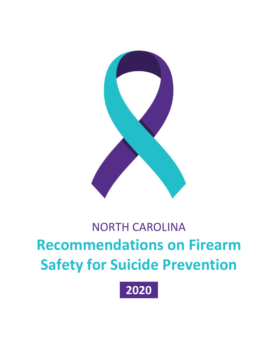

# NORTH CAROLINA **Recommendations on Firearm Safety for Suicide Prevention**

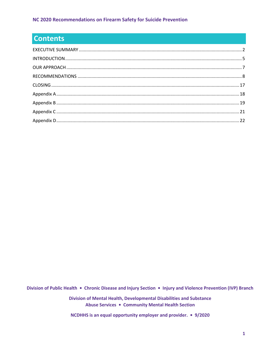# **Contents**

Division of Public Health • Chronic Disease and Injury Section • Injury and Violence Prevention (IVP) Branch

Division of Mental Health, Developmental Disabilities and Substance Abuse Services . Community Mental Health Section

NCDHHS is an equal opportunity employer and provider. • 9/2020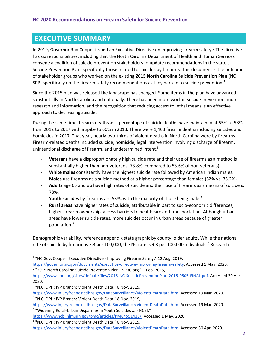# <span id="page-2-0"></span>**EXECUTIVE SUMMARY**

In 2019, Governor Roy Cooper issued an Executive Directive on improving firearm safety.<sup>1</sup> The directive has six responsibilities, including that the North Carolina Department of Health and Human Services convene a coalition of suicide prevention stakeholders to update recommendations in the state's Suicide Prevention Plan, specifically those related to suicides by firearms. This document is the outcome of stakeholder groups who worked on the existing **2015 North Carolina Suicide Prevention Plan** (NC SPP) specifically on the firearm safety recommendations as they pertain to suicide prevention.**<sup>2</sup>**

Since the 2015 plan was released the landscape has changed. Some items in the plan have advanced substantially in North Carolina and nationally. There has been more work in suicide prevention, more research and information, and the recognition that reducing access to lethal means is an effective approach to decreasing suicide.

During the same time, firearm deaths as a percentage of suicide deaths have maintained at 55% to 58% from 2012 to 2017 with a spike to 60% in 2013. There were 1,403 firearm deaths including suicides and homicides in 2017. That year, nearly two-thirds of violent deaths in North Carolina were by firearms. Firearm-related deaths included suicide, homicide, legal intervention involving discharge of firearm, unintentional discharge of firearm, and undetermined intent.<sup>3</sup>

- **Veterans** have a disproportionately high suicide rate and their use of firearms as a method is substantially higher than non-veterans (73.8%, compared to 53.6% of non-veterans).
- White males consistently have the highest suicide rate followed by American Indian males.
- Males use firearms as a suicide method at a higher percentage than females (62% vs. 36.2%).
- **Adults** age 65 and up have high rates of suicide and their use of firearms as a means of suicide is 78%.
- **Youth suicides** by firearms are 53%, with the majority of those being male.<sup>4</sup>
- **Rural areas** have higher rates of suicide, attributable in part to socio-economic differences, higher firearm ownership, access barriers to healthcare and transportation. Although urban areas have lower suicide rates, more suicides occur in urban areas because of greater population.<sup>5</sup>

Demographic variability, reference appendix state graphic by county; older adults. While the national rate of suicide by firearm is 7.3 per 100,000, the NC rate is 9.3 per 100,000 individuals.<sup>6</sup> Research

<sup>&</sup>lt;sup>1</sup> "NC Gov. Cooper: Executive Directive - Improving Firearm Safety." 12 Aug. 2019, [https://governor.nc.gov/documents/executive-directive-improving-firearm-safety.](https://governor.nc.gov/documents/executive-directive-improving-firearm-safety) Accessed 1 May. 2020.

<sup>&</sup>lt;sup>2</sup> "2015 North Carolina Suicide Prevention Plan - SPRC.org." 1 Feb. 2015,

[https://www.sprc.org/sites/default/files/2015-NC-SuicidePreventionPlan-2015-0505-FINAL.pdf.](https://www.sprc.org/sites/default/files/2015-NC-SuicidePreventionPlan-2015-0505-FINAL.pdf) Accessed 30 Apr. 2020.

<sup>&</sup>lt;sup>3</sup> "N.C. DPH: IVP Branch: Violent Death Data." 8 Nov. 2019,

[https://www.injuryfreenc.ncdhhs.gov/DataSurveillance/ViolentDeathData.htm.](https://www.injuryfreenc.ncdhhs.gov/DataSurveillance/ViolentDeathData.htm) Accessed 19 Mar. 2020. 4 "N.C. DPH: IVP Branch: Violent Death Data." 8 Nov. 2019,

[https://www.injuryfreenc.ncdhhs.gov/DataSurveillance/ViolentDeathData.htm.](https://www.injuryfreenc.ncdhhs.gov/DataSurveillance/ViolentDeathData.htm) Accessed 19 Mar. 2020. <sup>5</sup> "Widening Rural-Urban Disparities in Youth Suicides ... - NCBI."

[https://www.ncbi.nlm.nih.gov/pmc/articles/PMC4551430/.](https://www.ncbi.nlm.nih.gov/pmc/articles/PMC4551430/) Accessed 1 May. 2020.

<sup>6</sup> "N.C. DPH: IVP Branch: Violent Death Data." 8 Nov. 2019,

[https://www.injuryfreenc.ncdhhs.gov/DataSurveillance/ViolentDeathData.htm.](https://www.injuryfreenc.ncdhhs.gov/DataSurveillance/ViolentDeathData.htm) Accessed 30 Apr. 2020.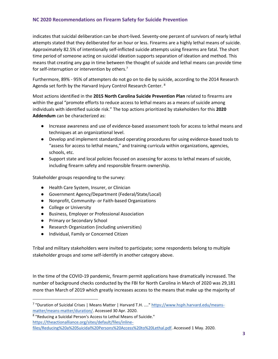indicates that suicidal deliberation can be short-lived. Seventy-one percent of survivors of nearly lethal attempts stated that they deliberated for an hour or less. Firearms are a highly lethal means of suicide. Approximately 82.5% of intentionally self-inflicted suicide attempts using firearms are fatal. The short time period of someone acting on suicidal ideation supports separation of ideation and method*.* This means that creating any gap in time between the thought of suicide and lethal means can provide time for self-interruption or intervention by others.<sup>7</sup>

Furthermore, 89% - 95% of attempters do not go on to die by suicide, according to the 2014 Research Agenda set forth by the Harvard Injury Control Research Center. <sup>8</sup>

Most actions identified in the **2015 North Carolina Suicide Prevention Plan** related to firearms are within the goal "promote efforts to reduce access to lethal means as a means of suicide among individuals with identified suicide risk." The top actions prioritized by stakeholders for this **2020 Addendum** can be characterized as:

- Increase awareness and use of evidence-based assessment tools for access to lethal means and techniques at an organizational level.
- Develop and implement standardized operating procedures for using evidence-based tools to "assess for access to lethal means," and training curricula within organizations, agencies, schools, etc.
- Support state and local policies focused on assessing for access to lethal means of suicide, including firearm safety and responsible firearm ownership.

Stakeholder groups responding to the survey:

- Health Care System, Insurer, or Clinician
- Government Agency/Department (Federal/State/Local)
- Nonprofit, Community- or Faith-based Organizations
- College or University
- Business, Employer or Professional Association
- Primary or Secondary School
- Research Organization (including universities)
- Individual, Family or Concerned Citizen

Tribal and military stakeholders were invited to participate; some respondents belong to multiple stakeholder groups and some self-identify in another category above.

In the time of the COVID-19 pandemic, firearm permit applications have dramatically increased. The number of background checks conducted by the FBI for North Carolina in March of 2020 was 29,181 more than March of 2019 which greatly increases access to the means that make up the majority of

<sup>&</sup>lt;sup>7</sup> "Duration of Suicidal Crises | Means Matter | Harvard T.H. ...." [https://www.hsph.harvard.edu/means](https://www.hsph.harvard.edu/means-matter/means-matter/duration/)[matter/means-matter/duration/.](https://www.hsph.harvard.edu/means-matter/means-matter/duration/) Accessed 30 Apr. 2020.

<sup>&</sup>lt;sup>8</sup> "Reducing a Suicidal Person's Access to Lethal Means of Suicide." [https://theactionalliance.org/sites/default/files/inline](https://theactionalliance.org/sites/default/files/inline-files/Reducing%20a%20Suicidal%20Persons%20Access%20to%20Lethal.pdf)[files/Reducing%20a%20Suicidal%20Persons%20Access%20to%20Lethal.pdf.](https://theactionalliance.org/sites/default/files/inline-files/Reducing%20a%20Suicidal%20Persons%20Access%20to%20Lethal.pdf) Accessed 1 May. 2020.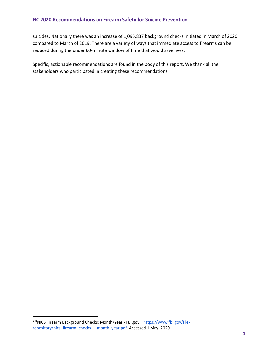suicides. Nationally there was an increase of 1,095,837 background checks initiated in March of 2020 compared to March of 2019. There are a variety of ways that immediate access to firearms can be reduced during the under 60-minute window of time that would save lives.<sup>9</sup>

Specific, actionable recommendations are found in the body of this report. We thank all the stakeholders who participated in creating these recommendations.

<sup>&</sup>lt;sup>9</sup> "NICS Firearm Background Checks: Month/Year - FBI.gov." <u>https://www.fbi.gov/file-</u> [repository/nics\\_firearm\\_checks\\_-\\_month\\_year.pdf.](https://www.fbi.gov/file-repository/nics_firearm_checks_-_month_year.pdf) Accessed 1 May. 2020.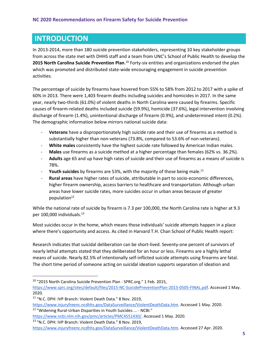# <span id="page-5-0"></span>**INTRODUCTION**

In 2013-2014, more than 180 suicide prevention stakeholders, representing 10 key stakeholder groups from across the state met with DHHS staff and a team from UNC's School of Public Health to develop the **2015 North Carolina Suicide Prevention Plan**. <sup>10</sup> Forty-six entities and organizations endorsed the plan which was promoted and distributed state-wide encouraging engagement in suicide prevention activities.

The percentage of suicide by firearms have hovered from 55% to 58% from 2012 to 2017 with a spike of 60% in 2013. There were 1,403 firearm deaths including suicides and homicides in 2017. In the same year, nearly two-thirds (61.0%) of violent deaths in North Carolina were caused by firearms. Specific causes of firearm-related deaths included suicide (59.9%), homicide (37.6%), legal intervention involving discharge of firearm (1.4%), unintentional discharge of firearm (0.9%), and undetermined intent (0.2%). The demographic information below mirrors national suicide data:

- **Veterans** have a disproportionately high suicide rate and their use of firearms as a method is substantially higher than non-veterans (73.8%, compared to 53.6% of non-veterans).
- White males consistently have the highest suicide rate followed by American Indian males.
- **Males** use firearms as a suicide method at a higher percentage than females (62% vs. 36.2%).
- **Adults** age 65 and up have high rates of suicide and their use of firearms as a means of suicide is 78%.
- Youth suicides by firearms are 53%, with the majority of those being male.<sup>11</sup>
- **Rural areas** have higher rates of suicide, attributable in part to socio-economic differences, higher firearm ownership, access barriers to healthcare and transportation. Although urban areas have lower suicide rates, more suicides occur in urban areas because of greater population<sup>12</sup>

While the national rate of suicide by firearm is 7.3 per 100,000, the North Carolina rate is higher at 9.3 per 100,000 individuals.<sup>13</sup>

Most suicides occur in the home, which means those individuals' suicide attempts happen in a place where there's opportunity and access. As cited in Harvard T.H. Chan School of Public Health report:

Research indicates that suicidal deliberation can be short-lived. Seventy-one percent of survivors of nearly lethal attempts stated that they deliberated for an hour or less. Firearms are a highly lethal means of suicide. Nearly 82.5% of intentionally self-inflicted suicide attempts using firearms are fatal. The short time period of someone acting on suicidal ideation supports separation of ideation and

<sup>10</sup> "2015 North Carolina Suicide Prevention Plan - SPRC.org." 1 Feb. 2015,

[https://www.sprc.org/sites/default/files/2015-NC-SuicidePreventionPlan-2015-0505-FINAL.pdf.](https://www.sprc.org/sites/default/files/2015-NC-SuicidePreventionPlan-2015-0505-FINAL.pdf) Accessed 1 May. 2020.

<sup>11</sup> "N.C. DPH: IVP Branch: Violent Death Data." 8 Nov. 2019, [https://www.injuryfreenc.ncdhhs.gov/DataSurveillance/ViolentDeathData.htm.](https://www.injuryfreenc.ncdhhs.gov/DataSurveillance/ViolentDeathData.htm) Accessed 1 May. 2020.

<sup>12</sup> "Widening Rural-Urban Disparities in Youth Suicides ... - NCBI."

[https://www.ncbi.nlm.nih.gov/pmc/articles/PMC4551430/.](https://www.ncbi.nlm.nih.gov/pmc/articles/PMC4551430/) Accessed 1 May. 2020.

<sup>&</sup>lt;sup>13</sup> "N.C. DPH: IVP Branch: Violent Death Data." 8 Nov. 2019,

[https://www.injuryfreenc.ncdhhs.gov/DataSurveillance/ViolentDeathData.htm.](https://www.injuryfreenc.ncdhhs.gov/DataSurveillance/ViolentDeathData.htm) Accessed 27 Apr. 2020.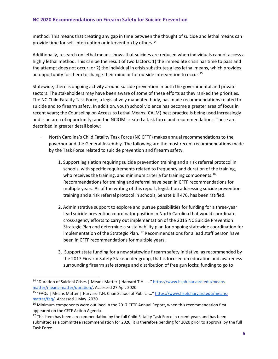method*.* This means that creating any gap in time between the thought of suicide and lethal means can provide time for self-interruption or intervention by others.<sup>14</sup>

Additionally, research on lethal means shows that suicides are reduced when individuals cannot access a highly lethal method. This can be the result of two factors: 1) the immediate crisis has time to pass and the attempt does not occur; or 2) the individual in crisis substitutes a less lethal means, which provides an opportunity for them to change their mind or for outside intervention to occur.<sup>15</sup>

Statewide, there is ongoing activity around suicide prevention in both the governmental and private sectors. The stakeholders may have been aware of some of these efforts as they ranked the priorities. The NC Child Fatality Task Force, a legislatively mandated body, has made recommendations related to suicide and to firearm safety. In addition, youth school violence has become a greater area of focus in recent years; the Counseling on Access to Lethal Means (CALM) best practice is being used increasingly and is an area of opportunity; and the NCIOM created a task force and recommendations. These are described in greater detail below:

- North Carolina's Child Fatality Task Force (NC CFTF) makes annual recommendations to the governor and the General Assembly. The following are the most recent recommendations made by the Task Force related to suicide prevention and firearm safety.
	- 1. Support legislation requiring suicide prevention training and a risk referral protocol in schools, with specific requirements related to frequency and duration of the training, who receives the training, and minimum criteria for training components.<sup>16</sup> Recommendations for training and referral have been in CFTF recommendations for multiple years. As of the writing of this report, legislation addressing suicide prevention training and a risk referral protocol in schools, Senate Bill 476, has been ratified.
	- 2. Administrative support to explore and pursue possibilities for funding for a three-year lead suicide prevention coordinator position in North Carolina that would coordinate cross-agency efforts to carry out implementation of the 2015 NC Suicide Prevention Strategic Plan and determine a sustainability plan for ongoing statewide coordination for implementation of the Strategic Plan.  $17$  Recommendations for a lead staff person have been in CFTF recommendations for multiple years.
	- 3. Support state funding for a new statewide firearm safety initiative, as recommended by the 2017 Firearm Safety Stakeholder group, that is focused on education and awareness surrounding firearm safe storage and distribution of free gun locks; funding to go to

<sup>&</sup>lt;sup>14</sup> "Duration of Suicidal Crises | Means Matter | Harvard T.H. ...." [https://www.hsph.harvard.edu/means](https://www.hsph.harvard.edu/means-matter/means-matter/duration/)[matter/means-matter/duration/.](https://www.hsph.harvard.edu/means-matter/means-matter/duration/) Accessed 27 Apr. 2020.

<sup>&</sup>lt;sup>15</sup> "FAQs | Means Matter | Harvard T.H. Chan School of Public ...." [https://www.hsph.harvard.edu/means](https://www.hsph.harvard.edu/means-matter/faq/)[matter/faq/.](https://www.hsph.harvard.edu/means-matter/faq/) Accessed 1 May. 2020.

<sup>&</sup>lt;sup>16</sup> Minimum components were outlined in the 2017 CFTF Annual Report, when this recommendation first appeared on the CFTF Action Agenda.

<sup>&</sup>lt;sup>17</sup> This item has been a recommendation by the full Child Fatality Task Force in recent years and has been submitted as a committee recommendation for 2020; it is therefore pending for 2020 prior to approval by the full Task Force.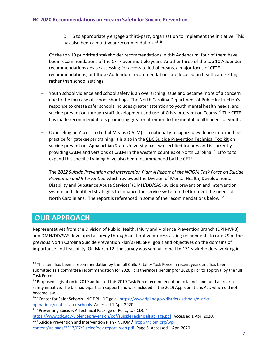DHHS to appropriately engage a third-party organization to implement the initiative. This has also been a multi-year recommendation. <sup>18 19</sup>

Of the top 10 prioritized stakeholder recommendations in this Addendum, four of them have been recommendations of the CFTF over multiple years. Another three of the top 10 Addendum recommendations advise assessing for access to lethal means, a major focus of CFTF recommendations, but these Addendum recommendations are focused on healthcare settings rather than school settings.

- Youth school violence and school safety is an overarching issue and became more of a concern due to the increase of school shootings. The North Carolina Department of Public Instruction's response to create safer schools includes greater attention to youth mental health needs, and suicide prevention through staff development and use of Crisis Intervention Teams.<sup>20</sup> The CFTF has made recommendations promoting greater attention to the mental health needs of youth.
- Counseling on Access to Lethal Means (CALM) is a nationally recognized evidence-informed best practice for gatekeeper training. It is also in the CDC Suicide Prevention Technical Toolkit on suicide prevention. Appalachian State University has two certified trainers and is currently providing CALM and versions of CALM in the western counties of North Carolina.<sup>21</sup> Efforts to expand this specific training have also been recommended by the CFTF.
- The *2012 Suicide Prevention and Intervention Plan: A Report of the NCIOM Task Force on Suicide Prevention and Intervention* which reviewed the Division of Mental Health, Developmental Disability and Substance Abuse Services' (DMH/DD/SAS) suicide prevention and intervention system and identified strategies to enhance the service system to better meet the needs of North Carolinians. The report is referenced in some of the recommendations below.<sup>22</sup>

# <span id="page-7-0"></span>**OUR APPROACH**

Representatives from the Division of Public Health, Injury and Violence Prevention Branch (DPH-IVPB) and DMH/DD/SAS developed a survey through an iterative process asking respondents to rate 29 of the previous North Carolina Suicide Prevention Plan's (NC SPP) goals and objectives on the domains of importance and feasibility. On March 12, the survey was sent via email to 171 stakeholders working in

<sup>&</sup>lt;sup>18</sup> This item has been a recommendation by the full Child Fatality Task Force in recent years and has been submitted as a committee recommendation for 2020; it is therefore pending for 2020 prior to approval by the full Task Force.

<sup>&</sup>lt;sup>19</sup> Proposed legislation in 2019 addressed this 2019 Task Force recommendation to launch and fund a firearm safety initiative. The bill had bipartisan support and was included in the 2019 Appropriations Act, which did not become law.

<sup>&</sup>lt;sup>20</sup> "Center for Safer Schools - NC DPI - NC.gov.[" https://www.dpi.nc.gov/districts-schools/district](https://www.dpi.nc.gov/districts-schools/district-operations/center-safer-schools)[operations/center-safer-schools.](https://www.dpi.nc.gov/districts-schools/district-operations/center-safer-schools) Accessed 1 Apr. 2020.

 $21$  "Preventing Suicide: A Technical Package of Policy ... - CDC."

[https://www.cdc.gov/violenceprevention/pdf/suicideTechnicalPackage.pdf.](https://www.cdc.gov/violenceprevention/pdf/suicideTechnicalPackage.pdf) Accessed 1 Apr. 2020.

<sup>&</sup>lt;sup>22</sup> "Suicide Prevention and Intervention Plan - NCIOM." [http://nciom.org/wp](http://nciom.org/wp-content/uploads/2017/07/SuicidePrev-report_web.pdf)[content/uploads/2017/07/SuicidePrev-report\\_web.pdf.](http://nciom.org/wp-content/uploads/2017/07/SuicidePrev-report_web.pdf) Page 5. Accessed 1 Apr. 2020.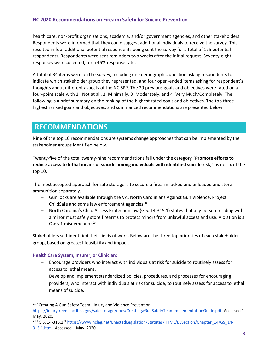health care, non-profit organizations, academia, and/or government agencies, and other stakeholders. Respondents were informed that they could suggest additional individuals to receive the survey. This resulted in four additional potential respondents being sent the survey for a total of 175 potential respondents. Respondents were sent reminders two weeks after the initial request. Seventy-eight responses were collected, for a 45% response rate.

A total of 34 items were on the survey, including one demographic question asking respondents to indicate which stakeholder group they represented, and four open-ended items asking for respondent's thoughts about different aspects of the NC SPP. The 29 previous goals and objectives were rated on a four-point scale with 1= Not at all, 2=Minimally, 3=Moderately, and 4=Very Much/Completely. The following is a brief summary on the ranking of the highest rated goals and objectives. The top three highest ranked goals and objectives, and summarized recommendations are presented below.

# <span id="page-8-0"></span>**RECOMMENDATIONS**

Nine of the top 10 recommendations are systems change approaches that can be implemented by the stakeholder groups identified below.

Twenty-five of the total twenty-nine recommendations fall under the category *"***Promote efforts to reduce access to lethal means of suicide among individuals with identified suicide risk**," as do six of the top 10.

The most accepted approach for safe storage is to secure a firearm locked and unloaded and store ammunition separately.

- Gun locks are available through the VA, North Carolinians Against Gun Violence, Project ChildSafe and some law enforcement agencies.<sup>23</sup>
- North Carolina's Child Access Protection law (G.S. 14-315.1) states that any person residing with a minor must safely store firearms to protect minors from unlawful access and use. Violation is a Class 1 misdemeanor. $24$

Stakeholders self-identified their fields of work. Below are the three top priorities of each stakeholder group, based on greatest feasibility and impact.

## **Health Care System, Insurer, or Clinician:**

- Encourage providers who interact with individuals at risk for suicide to routinely assess for access to lethal means.
- Develop and implement standardized policies, procedures, and processes for encouraging providers, who interact with individuals at risk for suicide, to routinely assess for access to lethal means of suicide.

<sup>&</sup>lt;sup>23</sup> "Creating A Gun Safety Team - Injury and Violence Prevention." [https://injuryfreenc.ncdhhs.gov/safestorage/docs/CreatingaGunSafetyTeamImplementationGuide.pdf.](https://injuryfreenc.ncdhhs.gov/safestorage/docs/CreatingaGunSafetyTeamImplementationGuide.pdf) Accessed 1 May. 2020.

<sup>&</sup>lt;sup>24</sup> "G.S. 14-315.1." [https://www.ncleg.net/EnactedLegislation/Statutes/HTML/BySection/Chapter\\_14/GS\\_14-](https://www.ncleg.net/EnactedLegislation/Statutes/HTML/BySection/Chapter_14/GS_14-315.1.html) [315.1.html.](https://www.ncleg.net/EnactedLegislation/Statutes/HTML/BySection/Chapter_14/GS_14-315.1.html) Accessed 1 May. 2020.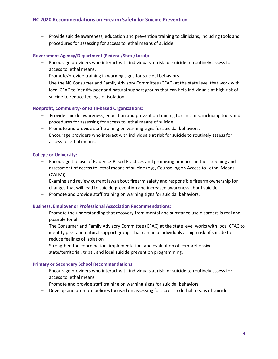– Provide suicide awareness, education and prevention training to clinicians, including tools and procedures for assessing for access to lethal means of suicide.

#### **Government Agency/Department (Federal/State/Local):**

- Encourage providers who interact with individuals at risk for suicide to routinely assess for access to lethal means.
- Promote/provide training in warning signs for suicidal behaviors.
- Use the NC Consumer and Family Advisory Committee (CFAC) at the state level that work with local CFAC to identify peer and natural support groups that can help individuals at high risk of suicide to reduce feelings of isolation.

#### **Nonprofit, Community- or Faith-based Organizations:**

- Provide suicide awareness, education and prevention training to clinicians, including tools and procedures for assessing for access to lethal means of suicide.
- Promote and provide staff training on warning signs for suicidal behaviors.
- Encourage providers who interact with individuals at risk for suicide to routinely assess for access to lethal means.

#### **College or University:**

- Encourage the use of Evidence-Based Practices and promising practices in the screening and assessment of access to lethal means of suicide (e.g., Counseling on Access to Lethal Means (CALM)).
- Examine and review current laws about firearm safety and responsible firearm ownership for changes that will lead to suicide prevention and increased awareness about suicide
- Promote and provide staff training on warning signs for suicidal behaviors.

#### **Business, Employer or Professional Association Recommendations:**

- Promote the understanding that recovery from mental and substance use disorders is real and possible for all
- The Consumer and Family Advisory Committee (CFAC) at the state level works with local CFAC to identify peer and natural support groups that can help individuals at high risk of suicide to reduce feelings of isolation
- Strengthen the coordination, implementation, and evaluation of comprehensive state/territorial, tribal, and local suicide prevention programming.

#### **Primary or Secondary School Recommendations:**

- Encourage providers who interact with individuals at risk for suicide to routinely assess for access to lethal means
- Promote and provide staff training on warning signs for suicidal behaviors
- Develop and promote policies focused on assessing for access to lethal means of suicide.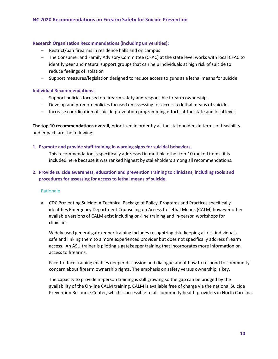#### **Research Organization Recommendations (including universities):**

- Restrict/ban firearms in residence halls and on campus
- The Consumer and Family Advisory Committee (CFAC) at the state level works with local CFAC to identify peer and natural support groups that can help individuals at high risk of suicide to reduce feelings of isolation
- Support measures/legislation designed to reduce access to guns as a lethal means for suicide.

#### **Individual Recommendations:**

- Support policies focused on firearm safety and responsible firearm ownership.
- Develop and promote policies focused on assessing for access to lethal means of suicide.
- Increase coordination of suicide prevention programming efforts at the state and local level.

**The top 10 recommendations overall,** prioritized in order by all the stakeholders in terms of feasibility and impact, are the following:

#### **1. Promote and provide staff training in warning signs for suicidal behaviors.**

This recommendation is specifically addressed in multiple other top-10 ranked items; it is included here because it was ranked highest by stakeholders among all recommendations.

**2. Provide suicide awareness, education and prevention training to clinicians, including tools and procedures for assessing for access to lethal means of suicide.** 

#### Rationale

a. CDC Preventing Suicide: A Technical Package of Policy, Programs and Practices specifically identifies Emergency Department Counseling on Access to Lethal Means (CALM) however other available versions of CALM exist including on-line training and in-person workshops for clinicians.

Widely used general gatekeeper training includes recognizing risk, keeping at-risk individuals safe and linking them to a more experienced provider but does not specifically address firearm access. An ASU trainer is piloting a gatekeeper training that incorporates more information on access to firearms.

Face-to- face training enables deeper discussion and dialogue about how to respond to community concern about firearm ownership rights. The emphasis on safety versus ownership is key.

The capacity to provide in-person training is still growing so the gap can be bridged by the availability of the On-line CALM training. CALM is available free of charge via the national Suicide Prevention Resource Center, which is accessible to all community health providers in North Carolina.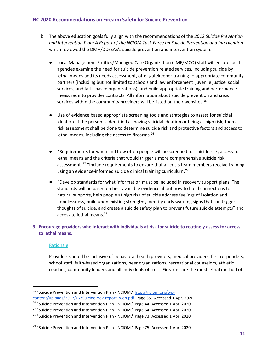- b. The above education goals fully align with the recommendations of the *2012 Suicide Prevention and Intervention Plan: A Report of the NCIOM Task Force on Suicide Prevention and Intervention* which reviewed the DMH/DD/SAS's suicide prevention and intervention system.
	- Local Management Entities/Managed Care Organization (LME/MCO) staff will ensure local agencies examine the need for suicide prevention related services, including suicide by lethal means and its needs assessment, offer gatekeeper training to appropriate community partners (including but not limited to schools and law enforcement juvenile justice, social services, and faith-based organizations), and build appropriate training and performance measures into provider contracts. All information about suicide prevention and crisis services within the community providers will be listed on their websites.<sup>25</sup>
	- Use of evidence based appropriate screening tools and strategies to assess for suicidal ideation. If the person is identified as having suicidal ideation or being at high risk, then a risk assessment shall be done to determine suicide risk and protective factors and access to lethal means, including the access to firearms.<sup>26</sup>
	- "Requirements for when and how often people will be screened for suicide risk, access to lethal means and the criteria that would trigger a more comprehensive suicide risk assessment"<sup>27</sup> "Include requirements to ensure that all crisis team members receive training using an evidence-informed suicide clinical training curriculum."<sup>28</sup>
	- "Develop standards for what information must be included in recovery support plans. The standards will be based on best available evidence about how to build connections to natural supports, help people at high risk of suicide address feelings of isolation and hopelessness, build upon existing strengths, identify early warning signs that can trigger thoughts of suicide, and create a suicide safety plan to prevent future suicide attempts" and access to lethal means.<sup>29</sup>
- **3. Encourage providers who interact with individuals at risk for suicide to routinely assess for access to lethal means.**

#### Rationale

Providers should be inclusive of behavioral health providers, medical providers, first responders, school staff, faith-based organizations, peer organizations, recreational counselors, athletic coaches, community leaders and all individuals of trust. Firearms are the most lethal method of

<sup>&</sup>lt;sup>25</sup> "Suicide Prevention and Intervention Plan - NCIOM." [http://nciom.org/wp-](http://nciom.org/wp-content/uploads/2017/07/SuicidePrev-report_web.pdf)

[content/uploads/2017/07/SuicidePrev-report\\_web.pdf.](http://nciom.org/wp-content/uploads/2017/07/SuicidePrev-report_web.pdf) Page 35. Accessed 1 Apr. 2020.

<sup>&</sup>lt;sup>26</sup> "Suicide Prevention and Intervention Plan - NCIOM." Page 44. Accessed 1 Apr. 2020.

<sup>&</sup>lt;sup>27</sup> "Suicide Prevention and Intervention Plan - NCIOM." Page 64. Accessed 1 Apr. 2020.

<sup>&</sup>lt;sup>28</sup> "Suicide Prevention and Intervention Plan - NCIOM." Page 73. Accessed 1 Apr. 2020.

<sup>&</sup>lt;sup>29</sup> "Suicide Prevention and Intervention Plan - NCIOM." Page 75. Accessed 1 Apr. 2020.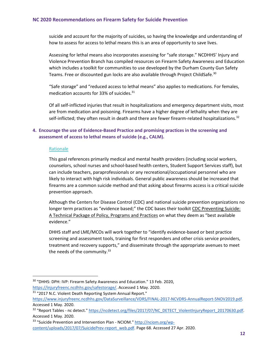suicide and account for the majority of suicides, so having the knowledge and understanding of how to assess for access to lethal means this is an area of opportunity to save lives.

Assessing for lethal means also incorporates assessing for "safe storage." NCDHHS' Injury and Violence Prevention Branch has compiled resources on Firearm Safety Awareness and Education which includes a toolkit for communities to use developed by the Durham County Gun Safety Teams. Free or discounted gun locks are also available through Project ChildSafe.<sup>30</sup>

"Safe storage" and "reduced access to lethal means" also applies to medications. For females, medication accounts for 33% of suicides. $31$ 

Of all self-inflicted injuries that result in hospitalizations and emergency department visits, most are from medication and poisoning. Firearms have a higher degree of lethality when they are self-inflicted; they often result in death and there are fewer firearm-related hospitalizations.<sup>32</sup>

## **4. Encourage the use of Evidence-Based Practice and promising practices in the screening and assessment of access to lethal means of suicide (e.g., CALM).**

#### Rationale

This goal references primarily medical and mental health providers (including social workers, counselors, school nurses and school-based health centers, Student Support Services staff), but can include teachers, paraprofessionals or any recreational/occupational personnel who are likely to interact with high risk individuals. General public awareness should be increased that firearms are a common suicide method and that asking about firearms access is a critical suicide prevention approach.

Although the Centers for Disease Control (CDC) and national suicide prevention organizations no longer term practices as "evidence based;" the CDC bases their toolkit CDC Preventing Suicide: A Technical Package of Policy, Programs and Practices on what they deem as "best available evidence."

DHHS staff and LME/MCOs will work together to "identify evidence-based or best practice screening and assessment tools, training for first responders and other crisis service providers, treatment and recovery supports," and disseminate through the appropriate avenues to meet the needs of the community. $33$ 

- <sup>30</sup> "DHHS: DPH: IVP: Firearm Safety Awareness and Education." 13 Feb. 2020,
- [https://injuryfreenc.ncdhhs.gov/safestorage/.](https://injuryfreenc.ncdhhs.gov/safestorage/) Accessed 1 May. 2020.

<sup>&</sup>lt;sup>31</sup> "2017 N.C. Violent Death Reporting System Annual Report."

[https://www.injuryfreenc.ncdhhs.gov/DataSurveillance/VDRS/FINAL-2017-NCVDRS-AnnualReport-5NOV2019.pdf.](https://www.injuryfreenc.ncdhhs.gov/DataSurveillance/VDRS/FINAL-2017-NCVDRS-AnnualReport-5NOV2019.pdf) Accessed 1 May. 2020.

<sup>&</sup>lt;sup>32</sup> "Report Tables - nc detect." [https://ncdetect.org/files/2017/07/NC\\_DETECT\\_ViolentInjuryReport\\_20170630.pdf.](https://ncdetect.org/files/2017/07/NC_DETECT_ViolentInjuryReport_20170630.pdf) Accessed 1 May. 2020.

<sup>33</sup> "Suicide Prevention and Intervention Plan - NCIOM." [http://nciom.org/wp](http://nciom.org/wp-content/uploads/2017/07/SuicidePrev-report_web.pdf)[content/uploads/2017/07/SuicidePrev-report\\_web.pdf.](http://nciom.org/wp-content/uploads/2017/07/SuicidePrev-report_web.pdf) Page 68. Accessed 27 Apr. 2020.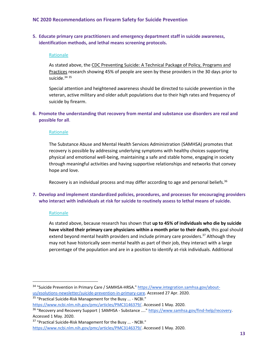**5. Educate primary care practitioners and emergency department staff in suicide awareness, identification methods, and lethal means screening protocols.**

#### Rationale

As stated above, the CDC Preventing Suicide: A Technical Package of Policy, Programs and Practices research showing 45% of people are seen by these providers in the 30 days prior to suicide. $34,35$ 

Special attention and heightened awareness should be directed to suicide prevention in the veteran, active military and older adult populations due to their high rates and frequency of suicide by firearm.

**6. Promote the understanding that recovery from mental and substance use disorders are real and possible for all**.

#### **Rationale**

The Substance Abuse and Mental Health Services Administration (SAMHSA) promotes that recovery is possible by addressing underlying symptoms with healthy choices supporting physical and emotional well-being, maintaining a safe and stable home, engaging in society through meaningful activities and having supportive relationships and networks that convey hope and love.

Recovery is an individual process and may differ according to age and personal beliefs. $36$ 

**7. Develop and implement standardized policies, procedures, and processes for encouraging providers who interact with individuals at risk for suicide to routinely assess to lethal means of suicide.**

#### Rationale

As stated above, because research has shown that **up to 45% of individuals who die by suicide have visited their primary care physicians within a month prior to their death,** this goal should extend beyond mental health providers and include primary care providers.<sup>37</sup> Although they may not have historically seen mental health as part of their job, they interact with a large percentage of the population and are in a position to identify at-risk individuals. Additional

<sup>34</sup> "Suicide Prevention in Primary Care / SAMHSA-HRSA.[" https://www.integration.samhsa.gov/about](https://www.integration.samhsa.gov/about-us/esolutions-newsletter/suicide-prevention-in-primary-care)[us/esolutions-newsletter/suicide-prevention-in-primary-care.](https://www.integration.samhsa.gov/about-us/esolutions-newsletter/suicide-prevention-in-primary-care) Accessed 27 Apr. 2020. <sup>35</sup> "Practical Suicide-Risk Management for the Busy ... - NCBI."

[https://www.ncbi.nlm.nih.gov/pmc/articles/PMC3146379/.](https://www.ncbi.nlm.nih.gov/pmc/articles/PMC3146379/) Accessed 1 May. 2020.

<sup>&</sup>lt;sup>36</sup> "Recovery and Recovery Support | SAMHSA - Substance ...." https://www.samhsa.gov/find-help/recovery. Accessed 1 May. 2020.

 $37$  "Practical Suicide-Risk Management for the Busy ... - NCBI." [https://www.ncbi.nlm.nih.gov/pmc/articles/PMC3146379/.](https://www.ncbi.nlm.nih.gov/pmc/articles/PMC3146379/) Accessed 1 May. 2020.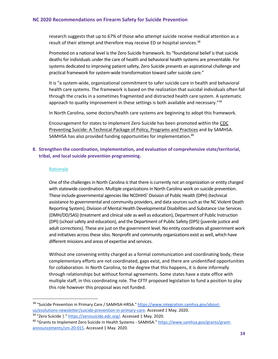research suggests that up to 67% of those who attempt suicide receive medical attention as a result of their attempt and therefore may receive ED or hospital services.<sup>38</sup>

Promoted on a national level is the Zero Suicide framework. Its "foundational belief is that suicide deaths for individuals under the care of health and behavioral health systems are preventable. For systems dedicated to improving patient safety, Zero Suicide presents an aspirational challenge and practical framework for system-wide transformation toward safer suicide care."

It is "a system-wide, organizational commitment to safer suicide care in health and behavioral health care systems. The framework is based on the realization that suicidal individuals often fall through the cracks in a sometimes fragmented and distracted health care system. A systematic approach to quality improvement in these settings is both available and necessary."<sup>39</sup>

In North Carolina, some doctors/health care systems are beginning to adopt this framework.

Encouragement for states to implement Zero Suicide has been promoted within the CDC Preventing Suicide: A Technical Package of Policy, Programs and Practices and by SAMHSA. SAMHSA has also provided funding opportunities for implementation.<sup>40</sup>

## **8**. **Strengthen the coordination, implementation, and evaluation of comprehensive state/territorial, tribal, and local suicide prevention programming.**

#### **Rationale**

One of the challenges in North Carolina is that there is currently not an organization or entity charged with statewide coordination. Multiple organizations in North Carolina work on suicide prevention. These include governmental agencies like NCDHHS' Division of Public Health (DPH) (technical assistance to governmental and community providers, and data sources such as the NC Violent Death Reporting System), Division of Mental Health Developmental Disabilities and Substance Use Services (DMH/DD/SAS) (treatment and clinical side as well as education), Department of Public Instruction (DPI) (school safety and education), and the Department of Public Safety (DPS) (juvenile justice and adult corrections). These are just on the government level. No entity coordinates all government work and initiatives across these silos. Nonprofit and community organizations exist as well, which have different missions and areas of expertise and services.

Without one convening entity charged as a formal communication and coordinating body, these complementary efforts are not coordinated, gaps exist, and there are unidentified opportunities for collaboration. In North Carolina, to the degree that this happens, it is done informally through relationships but without formal agreements. Some states have a state office with multiple staff, in this coordinating role. The CFTF proposed legislation to fund a position to play this role however this proposal was not funded.

<sup>&</sup>lt;sup>38</sup> "Suicide Prevention in Primary Care / SAMHSA-HRSA.[" https://www.integration.samhsa.gov/about](https://www.integration.samhsa.gov/about-us/esolutions-newsletter/suicide-prevention-in-primary-care)[us/esolutions-newsletter/suicide-prevention-in-primary-care.](https://www.integration.samhsa.gov/about-us/esolutions-newsletter/suicide-prevention-in-primary-care) Accessed 1 May. 2020.

<sup>&</sup>lt;sup>39</sup> "Zero Suicide | [" https://zerosuicide.edc.org/.](https://zerosuicide.edc.org/) Accessed 1 May. 2020.

<sup>&</sup>lt;sup>40</sup> "Grants to Implement Zero Suicide in Health Systems - SAMHSA.[" https://www.samhsa.gov/grants/grant](https://www.samhsa.gov/grants/grant-announcements/sm-20-015)[announcements/sm-20-015.](https://www.samhsa.gov/grants/grant-announcements/sm-20-015) Accessed 1 May. 2020.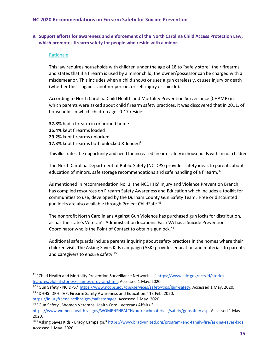**9. Support efforts for awareness and enforcement of the North Carolina Child Access Protection Law, which promotes firearm safety for people who reside with a minor.**

#### Rationale

This law requires households with children under the age of 18 to "safely store" their firearms, and states that if a firearm is used by a minor child, the owner/possessor can be charged with a misdemeanor. This includes when a child shows or uses a gun carelessly, causes injury or death (whether this is against another person, or self-injury or suicide).

According to North Carolina Child Health and Mortality Prevention Surveillance (CHAMP) in which parents were asked about child firearm safety practices, it was discovered that in 2011, of households in which children ages 0-17 reside:

**32.8%** had a firearm in or around home **25.4%** kept firearms loaded **29.2%** kept firearms unlocked **17.3%** kept firearms both unlocked & loaded<sup>41</sup>

This illustrates the opportunity and need for increased firearm safety in households with minor children.

The North Carolina Department of Public Safety (NC DPS) provides safety ideas to parents about education of minors, safe storage recommendations and safe handling of a firearm.<sup>42</sup>

As mentioned in recommendation No. 3, the NCDHHS' Injury and Violence Prevention Branch has compiled resources on Firearm Safety Awareness and Education which includes a toolkit for communities to use, developed by the Durham County Gun Safety Team. Free or discounted gun locks are also available through Project ChildSafe.<sup>43</sup>

The nonprofit North Carolinians Against Gun Violence has purchased gun locks for distribution, as has the state's Veteran's Administration locations. Each VA has a Suicide Prevention Coordinator who is the Point of Contact to obtain a gunlock.<sup>44</sup>

Additional safeguards include parents inquiring about safety practices in the homes where their children visit. The Asking Saves Kids campaign (ASK) provides education and materials to parents and caregivers to ensure safety.<sup>45</sup>

<sup>&</sup>lt;sup>41</sup> "Child Health and Mortality Prevention Surveillance Network ...." [https://www.cdc.gov/ncezid/stories](https://www.cdc.gov/ncezid/stories-features/global-stories/champs-program.html)[features/global-stories/champs-program.html.](https://www.cdc.gov/ncezid/stories-features/global-stories/champs-program.html) Accessed 1 May. 2020.

<sup>&</sup>lt;sup>42</sup> "Gun Safety - NC DPS." [https://www.ncdps.gov/dps-services/safety-tips/gun-safety.](https://www.ncdps.gov/dps-services/safety-tips/gun-safety) Accessed 1 May. 2020.

<sup>43</sup> "DHHS: DPH: IVP: Firearm Safety Awareness and Education." 13 Feb. 2020, [https://injuryfreenc.ncdhhs.gov/safestorage/.](https://injuryfreenc.ncdhhs.gov/safestorage/) Accessed 1 May. 2020.

<sup>44</sup> "Gun Safety - Women Veterans Health Care - Veterans Affairs."

[https://www.womenshealth.va.gov/WOMENSHEALTH/outreachmaterials/safety/gunsafety.asp.](https://www.womenshealth.va.gov/WOMENSHEALTH/outreachmaterials/safety/gunsafety.asp) Accessed 1 May. 2020.

<sup>45</sup> "Asking Saves Kids - Brady Campaign." [https://www.bradyunited.org/program/end-family-fire/asking-saves-kids.](https://www.bradyunited.org/program/end-family-fire/asking-saves-kids) Accessed 1 May. 2020.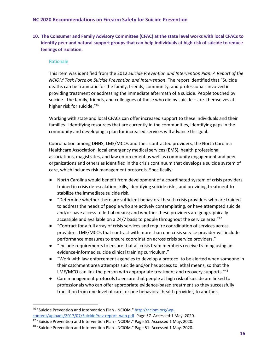**10. The Consumer and Family Advisory Committee (CFAC) at the state level works with local CFACs to identify peer and natural support groups that can help individuals at high risk of suicide to reduce feelings of isolation.**

#### Rationale

This item was identified from the 2012 *Suicide Prevention and Intervention Plan: A Report of the NCIOM Task Force on Suicide Prevention and Intervention*. The report identified that "Suicide deaths can be traumatic for the family, friends, community, and professionals involved in providing treatment or addressing the immediate aftermath of a suicide. People touched by suicide - the family, friends, and colleagues of those who die by suicide – are themselves at higher risk for suicide."<sup>46</sup>

Working with state and local CFACs can offer increased support to these individuals and their families. Identifying resources that are currently in the communities, identifying gaps in the community and developing a plan for increased services will advance this goal.

Coordination among DHHS, LME/MCOs and their contracted providers, the North Carolina Healthcare Association, local emergency medical services (EMS), health professional associations, magistrates, and law enforcement as well as community engagement and peer organizations and others as identified in the crisis continuum that develops a suicide system of care, which includes risk management protocols. Specifically:

- North Carolina would benefit from development of a coordinated system of crisis providers trained in crisis de-escalation skills, identifying suicide risks, and providing treatment to stabilize the immediate suicide risk.
- "Determine whether there are sufficient behavioral health crisis providers who are trained to address the needs of people who are actively contemplating, or have attempted suicide and/or have access to lethal means; and whether these providers are geographically accessible and available on a 24/7 basis to people throughout the service area."47
- "Contract for a full array of crisis services and require coordination of services across providers. LME/MCOs that contract with more than one crisis service provider will include performance measures to ensure coordination across crisis service providers."
- "Include requirements to ensure that all crisis team members receive training using an evidence-informed suicide clinical training curriculum."
- "Work with law enforcement agencies to develop a protocol to be alerted when someone in their catchment area attempts suicide and/or has access to lethal means, so that the LME/MCO can link the person with appropriate treatment and recovery supports." $48$
- Care management protocols to ensure that people at high risk of suicide are linked to professionals who can offer appropriate evidence-based treatment so they successfully transition from one level of care, or one behavioral health provider, to another.

<sup>46</sup> "Suicide Prevention and Intervention Plan - NCIOM." [http://nciom.org/wp](http://nciom.org/wp-content/uploads/2017/07/SuicidePrev-report_web.pdf)[content/uploads/2017/07/SuicidePrev-report\\_web.pdf.](http://nciom.org/wp-content/uploads/2017/07/SuicidePrev-report_web.pdf) Page 57. Accessed 1 May. 2020.

<sup>&</sup>lt;sup>47</sup> "Suicide Prevention and Intervention Plan - NCIOM." Page 51. Accessed 1 May. 2020.

<sup>48</sup> "Suicide Prevention and Intervention Plan - NCIOM." Page 51. Accessed 1 May. 2020.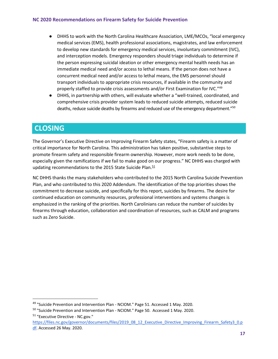- DHHS to work with the North Carolina Healthcare Association, LME/MCOs, "local emergency medical services (EMS), health professional associations, magistrates, and law enforcement to develop new standards for emergency medical services, involuntary commitment (IVC), and interception models. Emergency responders should triage individuals to determine if the person expressing suicidal ideation or other emergency mental health needs has an immediate medical need and/or access to lethal means. If the person does not have a concurrent medical need and/or access to lethal means, the EMS personnel should transport individuals to appropriate crisis resources, if available in the community and properly staffed to provide crisis assessments and/or First Examination for IVC."49
- DHHS, in partnership with others, will evaluate whether a "well-trained, coordinated, and comprehensive crisis provider system leads to reduced suicide attempts, reduced suicide deaths, reduce suicide deaths by firearms and reduced use of the emergency department."<sup>50</sup>

# <span id="page-17-0"></span>**CLOSING**

The Governor's Executive Directive on Improving Firearm Safety states, "Firearm safety is a matter of critical importance for North Carolina. This administration has taken positive, substantive steps to promote firearm safety and responsible firearm ownership. However, more work needs to be done, especially given the ramifications if we fail to make good on our progress." NC DHHS was charged with updating recommendations to the 2015 State Suicide Plan.<sup>51</sup>

NC DHHS thanks the many stakeholders who contributed to the 2015 North Carolina Suicide Prevention Plan, and who contributed to this 2020 Addendum. The identification of the top priorities shows the commitment to decrease suicide, and specifically for this report, suicides by firearms. The desire for continued education on community resources, professional interventions and systems changes is emphasized in the ranking of the priorities. North Carolinians can reduce the number of suicides by firearms through education, collaboration and coordination of resources, such as CALM and programs such as Zero Suicide.

<sup>&</sup>lt;sup>49</sup> "Suicide Prevention and Intervention Plan - NCIOM." Page 51. Accessed 1 May. 2020.

<sup>50</sup> "Suicide Prevention and Intervention Plan - NCIOM." Page 50. Accessed 1 May. 2020.

<sup>51</sup> "Executive Directive - NC.gov."

[https://files.nc.gov/governor/documents/files/2019\\_08\\_12\\_Executive\\_Directive\\_Improving\\_Firearm\\_Safety3\\_0.p](https://files.nc.gov/governor/documents/files/2019_08_12_Executive_Directive_Improving_Firearm_Safety3_0.pdf) [df.](https://files.nc.gov/governor/documents/files/2019_08_12_Executive_Directive_Improving_Firearm_Safety3_0.pdf) Accessed 26 May. 2020.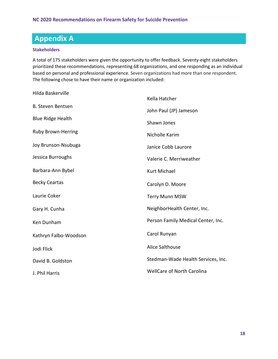# <span id="page-18-0"></span>**Appendix A**

#### **Stakeholders**

A total of 175 stakeholders were given the opportunity to offer feedback. Seventy-eight stakeholders prioritized these recommendations, representing 68 organizations, and one responding as an individual based on personal and professional experience. Seven organizations had more than one respondent. The following chose to have their name or organization included:

| Hilda Baskerville         | Kella Hatcher                      |
|---------------------------|------------------------------------|
| <b>B. Steven Bentsen</b>  | John Paul (JP) Jameson             |
| <b>Blue Ridge Health</b>  | Shawn Jones                        |
| <b>Ruby Brown-Herring</b> | Nicholle Karim                     |
| Joy Brunson-Nsubuga       | Janice Cobb Laurore                |
| Jessica Burroughs         | Valerie C. Merriweather            |
| Barbara-Ann Bybel         | <b>Kurt Michael</b>                |
| <b>Becky Ceartas</b>      | Carolyn D. Moore                   |
| Laurie Coker              | <b>Terry Munn MSW</b>              |
| Gary H. Cunha             | NeighborHealth Center, Inc.        |
| Ken Dunham                | Person Family Medical Center, Inc. |
| Kathryn Falbo-Woodson     | Carol Runyan                       |
| Jodi Flick                | Alice Salthouse                    |
| David B. Goldston         | Stedman-Wade Health Services, Inc. |
| J. Phil Harris            | <b>WellCare of North Carolina</b>  |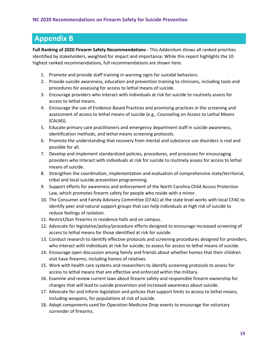# <span id="page-19-0"></span>**Appendix B**

**Full Ranking of 2020 Firearm Safety Recommendations -** This Addendum shows all ranked priorities identified by stakeholders, weighted for impact and importance. While this report highlights the 10 highest ranked recommendations, full recommendations are shown here.

- 1. Promote and provide staff training in warning signs for suicidal behaviors.
- 2. Provide suicide awareness, education and prevention training to clinicians, including tools and procedures for assessing for access to lethal means of suicide.
- 3. Encourage providers who interact with individuals at risk for suicide to routinely assess for access to lethal means.
- 4. Encourage the use of Evidence-Based Practices and promising practices in the screening and assessment of access to lethal means of suicide (e.g., Counseling on Access to Lethal Means (CALM)).
- 5. Educate primary care practitioners and emergency department staff in suicide awareness, identification methods, and lethal means screening protocols.
- 6. Promote the understanding that recovery from mental and substance use disorders is real and possible for all.
- 7. Develop and implement standardized policies, procedures, and processes for encouraging providers who interact with individuals at risk for suicide to routinely assess for access to lethal means of suicide.
- 8. Strengthen the coordination, implementation and evaluation of comprehensive state/territorial, tribal and local suicide prevention programming.
- 9. Support efforts for awareness and enforcement of the North Carolina Child Access Protection Law, which promotes firearm safety for people who reside with a minor.
- 10. The Consumer and Family Advisory Committee (CFAC) at the state level works with local CFAC to identify peer and natural support groups that can help individuals at high risk of suicide to reduce feelings of isolation.
- 11. Restrict/ban firearms in residence halls and on campus.
- 12. Advocate for legislative/policy/procedure efforts designed to encourage increased screening of access to lethal means for those identified at risk for suicide.
- 13. Conduct research to identify effective protocols and screening procedures designed for providers, who interact with individuals at risk for suicide, to assess for access to lethal means of suicide.
- 14. Encourage open discussion among family and friends about whether homes that their children visit have firearms, including homes of relatives.
- 15. Work with health care systems and researchers to identify screening protocols to assess for access to lethal means that are effective and enforced within the military.
- 16. Examine and review current laws about firearm safety and responsible firearm ownership for changes that will lead to suicide prevention and increased awareness about suicide.
- 17. Advocate for and inform legislation and policies that support limits to access to lethal means, including weapons, for populations at risk of suicide.
- 18. Adopt components used for Operation Medicine Drop events to encourage the voluntary surrender of firearms.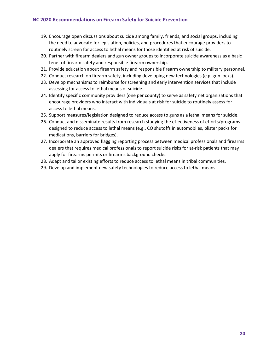- 19. Encourage open discussions about suicide among family, friends, and social groups, including the need to advocate for legislation, policies, and procedures that encourage providers to routinely screen for access to lethal means for those identified at risk of suicide.
- 20. Partner with firearm dealers and gun owner groups to incorporate suicide awareness as a basic tenet of firearm safety and responsible firearm ownership.
- 21. Provide education about firearm safety and responsible firearm ownership to military personnel.
- 22. Conduct research on firearm safety, including developing new technologies (e.g. gun locks).
- 23. Develop mechanisms to reimburse for screening and early intervention services that include assessing for access to lethal means of suicide.
- 24. Identify specific community providers (one per county) to serve as safety net organizations that encourage providers who interact with individuals at risk for suicide to routinely assess for access to lethal means.
- 25. Support measures/legislation designed to reduce access to guns as a lethal means for suicide.
- 26. Conduct and disseminate results from research studying the effectiveness of efforts/programs designed to reduce access to lethal means (e.g., CO shutoffs in automobiles, blister packs for medications, barriers for bridges).
- 27. Incorporate an approved flagging reporting process between medical professionals and firearms dealers that requires medical professionals to report suicide risks for at-risk patients that may apply for firearms permits or firearms background checks.
- 28. Adapt and tailor existing efforts to reduce access to lethal means in tribal communities.
- 29. Develop and implement new safety technologies to reduce access to lethal means.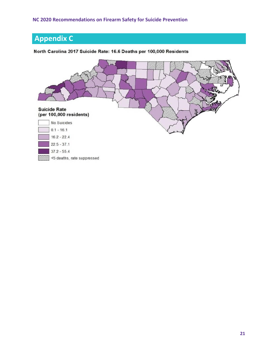# <span id="page-21-0"></span>**Appendix C**

# North Carolina 2017 Suicide Rate: 16.6 Deaths per 100,000 Residents

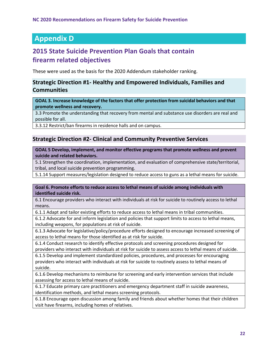# <span id="page-22-0"></span>**Appendix D**

# **2015 State Suicide Prevention Plan Goals that contain firearm related objectives**

These were used as the basis for the 2020 Addendum stakeholder ranking.

# **Strategic Direction #1- Healthy and Empowered Individuals, Families and Communities**

**GOAL 3. Increase knowledge of the factors that offer protection from suicidal behaviors and that promote wellness and recovery.**

3.3 Promote the understanding that recovery from mental and substance use disorders are real and possible for all.

3.3.12 Restrict/ban firearms in residence halls and on campus.

# **Strategic Direction #2- Clinical and Community Preventive Services**

**GOAL 5 Develop, implement, and monitor effective programs that promote wellness and prevent suicide and related behaviors.**

5.1 Strengthen the coordination, implementation, and evaluation of comprehensive state/territorial, tribal, and local suicide prevention programming.

5.1.14 Support measures/legislation designed to reduce access to guns as a lethal means for suicide.

**Goal 6. Promote efforts to reduce access to lethal means of suicide among individuals with identified suicide risk.**

6.1 Encourage providers who interact with individuals at risk for suicide to routinely access to lethal means.

6.1.1 Adapt and tailor existing efforts to reduce access to lethal means in tribal communities.

6.1.2 Advocate for and inform legislation and policies that support limits to access to lethal means, including weapons, for populations at risk of suicide.

6.1.3 Advocate for legislative/policy/procedure efforts designed to encourage increased screening of access to lethal means for those identified as at risk for suicide.

6.1.4 Conduct research to identify effective protocols and screening procedures designed for providers who interact with individuals at risk for suicide to assess access to lethal means of suicide.

6.1.5 Develop and implement standardized policies, procedures, and processes for encouraging providers who interact with individuals at risk for suicide to routinely assess to lethal means of suicide.

6.1.6 Develop mechanisms to reimburse for screening and early intervention services that include assessing for access to lethal means of suicide.

6.1.7 Educate primary care practitioners and emergency department staff in suicide awareness, identification methods, and lethal means screening protocols.

6.1.8 Encourage open discussion among family and friends about whether homes that their children visit have firearms, including homes of relatives.